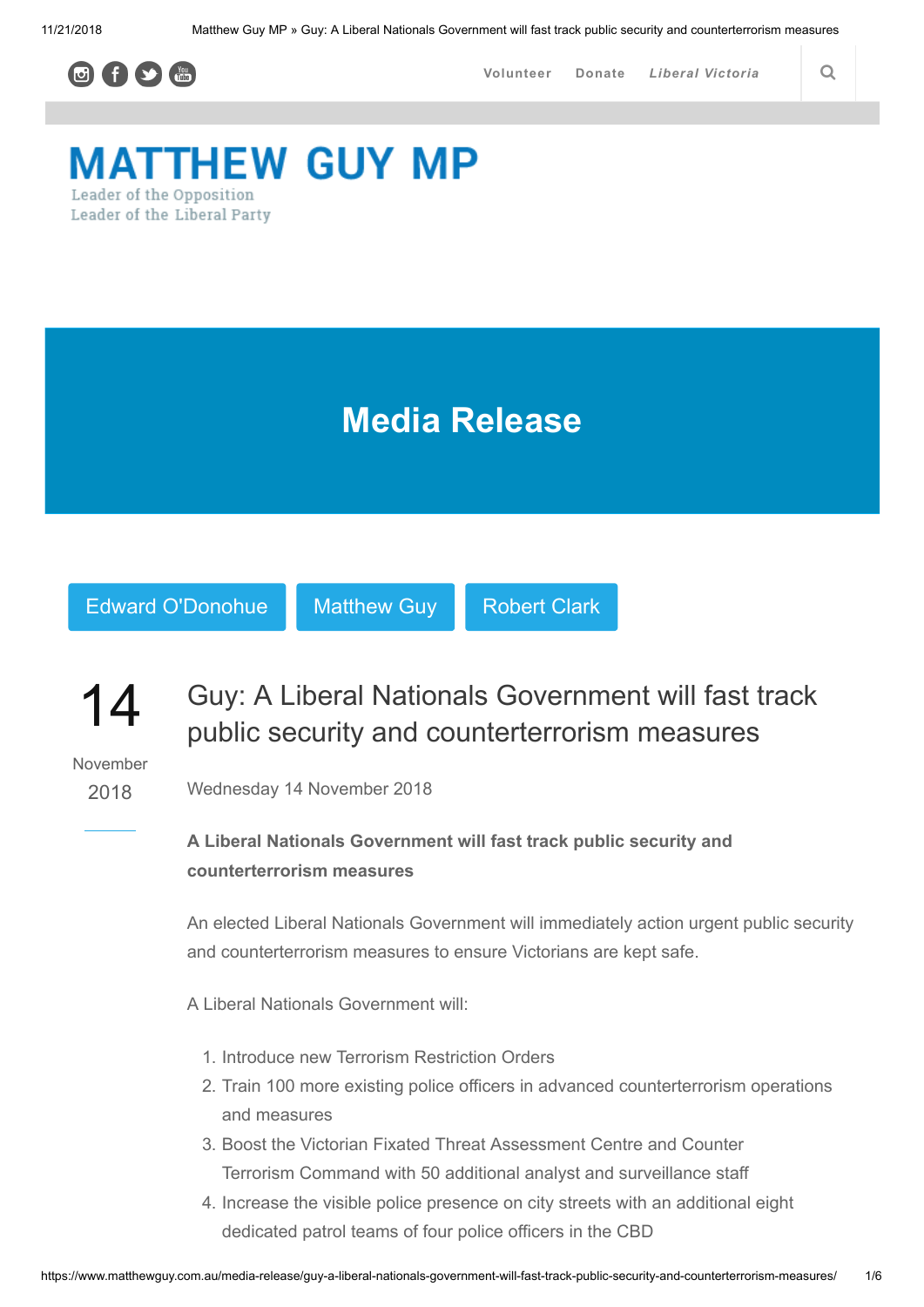

# **MATTHEW GUY MP** Leader of the Opposition Leader of the Liberal Party

Media Release



## 14 Guy: A Liberal Nationals Government will fast track public security and counterterrorism measures

November

2018

Wednesday 14 November 2018

# A Liberal Nationals Government will fast track public security and counterterrorism measures

An elected Liberal Nationals Government will immediately action urgent public security and counterterrorism measures to ensure Victorians are kept safe.

A Liberal Nationals Government will:

- 1. Introduce new Terrorism Restriction Orders
- 2. Train 100 more existing police officers in advanced counterterrorism operations and measures
- 3. Boost the Victorian Fixated Threat Assessment Centre and Counter Terrorism Command with 50 additional analyst and surveillance staff
- 4. Increase the visible police presence on city streets with an additional eight dedicated patrol teams of four police officers in the CBD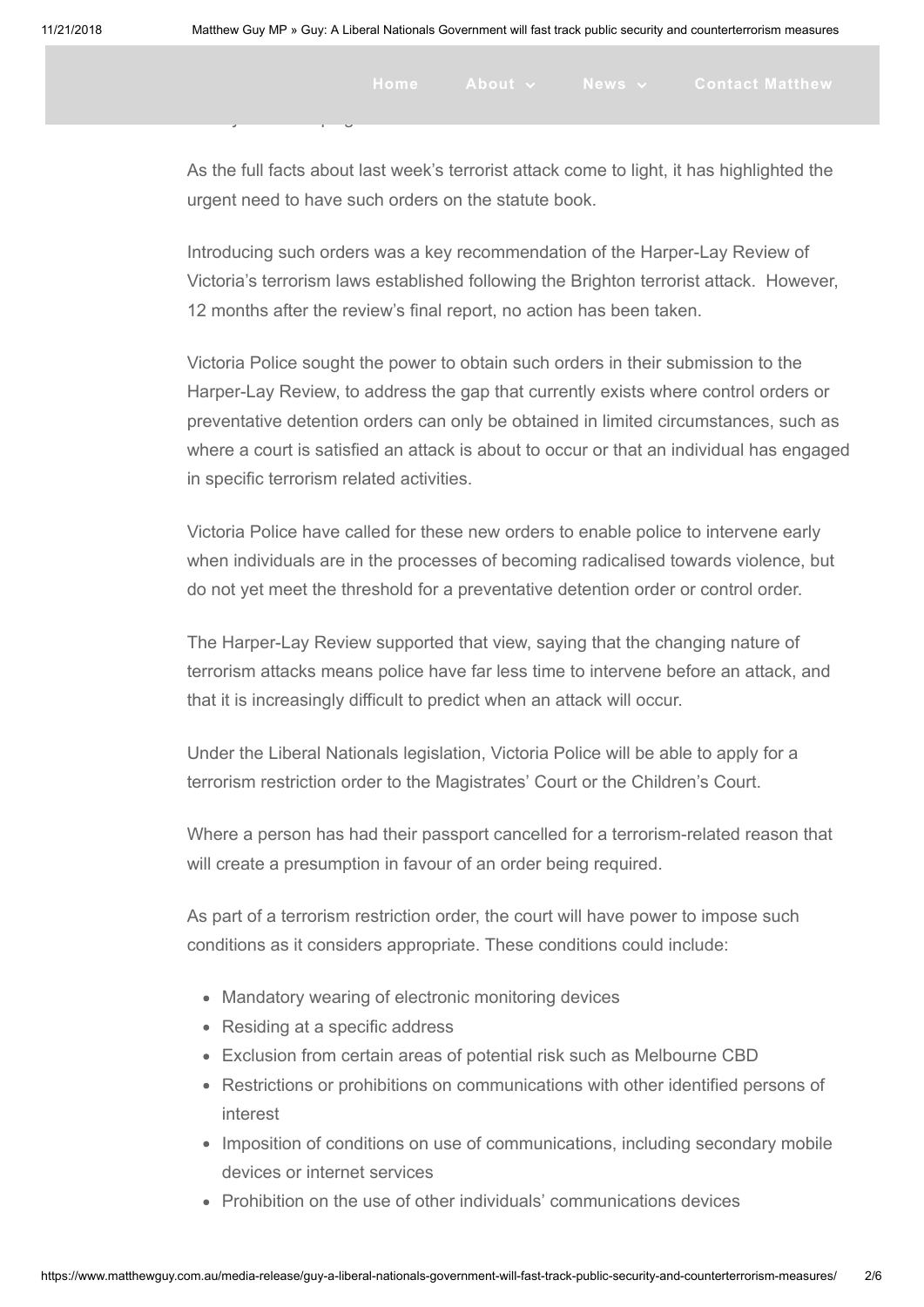As the full facts about last week's terrorist attack come to light, it has highlighted the urgent need to have such orders on the statute book.

or may be developing terrorist behaviours.

Introducing such orders was a key recommendation of the Harper-Lay Review of Victoria's terrorism laws established following the Brighton terrorist attack. However, 12 months after the review's final report, no action has been taken.

Victoria Police sought the power to obtain such orders in their submission to the Harper-Lay Review, to address the gap that currently exists where control orders or preventative detention orders can only be obtained in limited circumstances, such as where a court is satisfied an attack is about to occur or that an individual has engaged in specific terrorism related activities.

Victoria Police have called for these new orders to enable police to intervene early when individuals are in the processes of becoming radicalised towards violence, but do not yet meet the threshold for a preventative detention order or control order.

The Harper-Lay Review supported that view, saying that the changing nature of terrorism attacks means police have far less time to intervene before an attack, and that it is increasingly difficult to predict when an attack will occur.

Under the Liberal Nationals legislation, Victoria Police will be able to apply for a terrorism restriction order to the Magistrates' Court or the Children's Court.

Where a person has had their passport cancelled for a terrorism-related reason that will create a presumption in favour of an order being required.

As part of a terrorism restriction order, the court will have power to impose such conditions as it considers appropriate. These conditions could include:

- Mandatory wearing of electronic monitoring devices
- Residing at a specific address
- Exclusion from certain areas of potential risk such as Melbourne CBD
- Restrictions or prohibitions on communications with other identified persons of interest
- Imposition of conditions on use of communications, including secondary mobile devices or internet services
- Prohibition on the use of other individuals' communications devices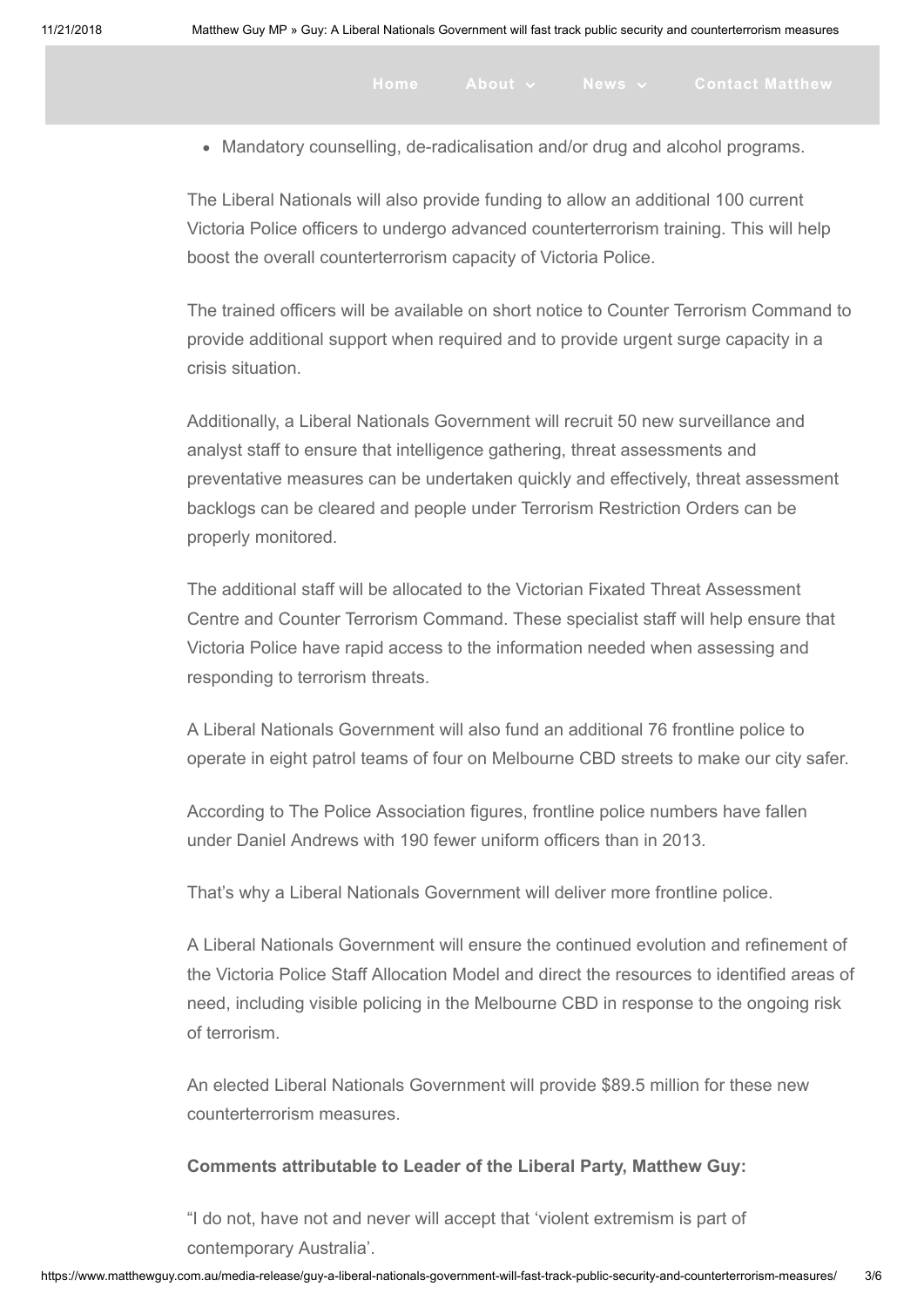Current Current<br>Current Current Current<br>Current Current Current

Mandatory counselling, de-radicalisation and/or drug and alcohol programs.

The Liberal Nationals will also provide funding to allow an additional 100 current Victoria Police officers to undergo advanced counterterrorism training. This will help boost the overall counterterrorism capacity of Victoria Police.

The trained officers will be available on short notice to Counter Terrorism Command to provide additional support when required and to provide urgent surge capacity in a crisis situation.

Additionally, a Liberal Nationals Government will recruit 50 new surveillance and analyst staff to ensure that intelligence gathering, threat assessments and preventative measures can be undertaken quickly and effectively, threat assessment backlogs can be cleared and people under Terrorism Restriction Orders can be properly monitored.

The additional staff will be allocated to the Victorian Fixated Threat Assessment Centre and Counter Terrorism Command. These specialist staff will help ensure that Victoria Police have rapid access to the information needed when assessing and responding to terrorism threats.

A Liberal Nationals Government will also fund an additional 76 frontline police to operate in eight patrol teams of four on Melbourne CBD streets to make our city safer.

According to The Police Association figures, frontline police numbers have fallen under Daniel Andrews with 190 fewer uniform officers than in 2013.

That's why a Liberal Nationals Government will deliver more frontline police.

A Liberal Nationals Government will ensure the continued evolution and refinement of the Victoria Police Staff Allocation Model and direct the resources to identified areas of need, including visible policing in the Melbourne CBD in response to the ongoing risk of terrorism.

An elected Liberal Nationals Government will provide \$89.5 million for these new counterterrorism measures.

### Comments attributable to Leader of the Liberal Party, Matthew Guy:

"I do not, have not and never will accept that 'violent extremism is part of contemporary Australia'.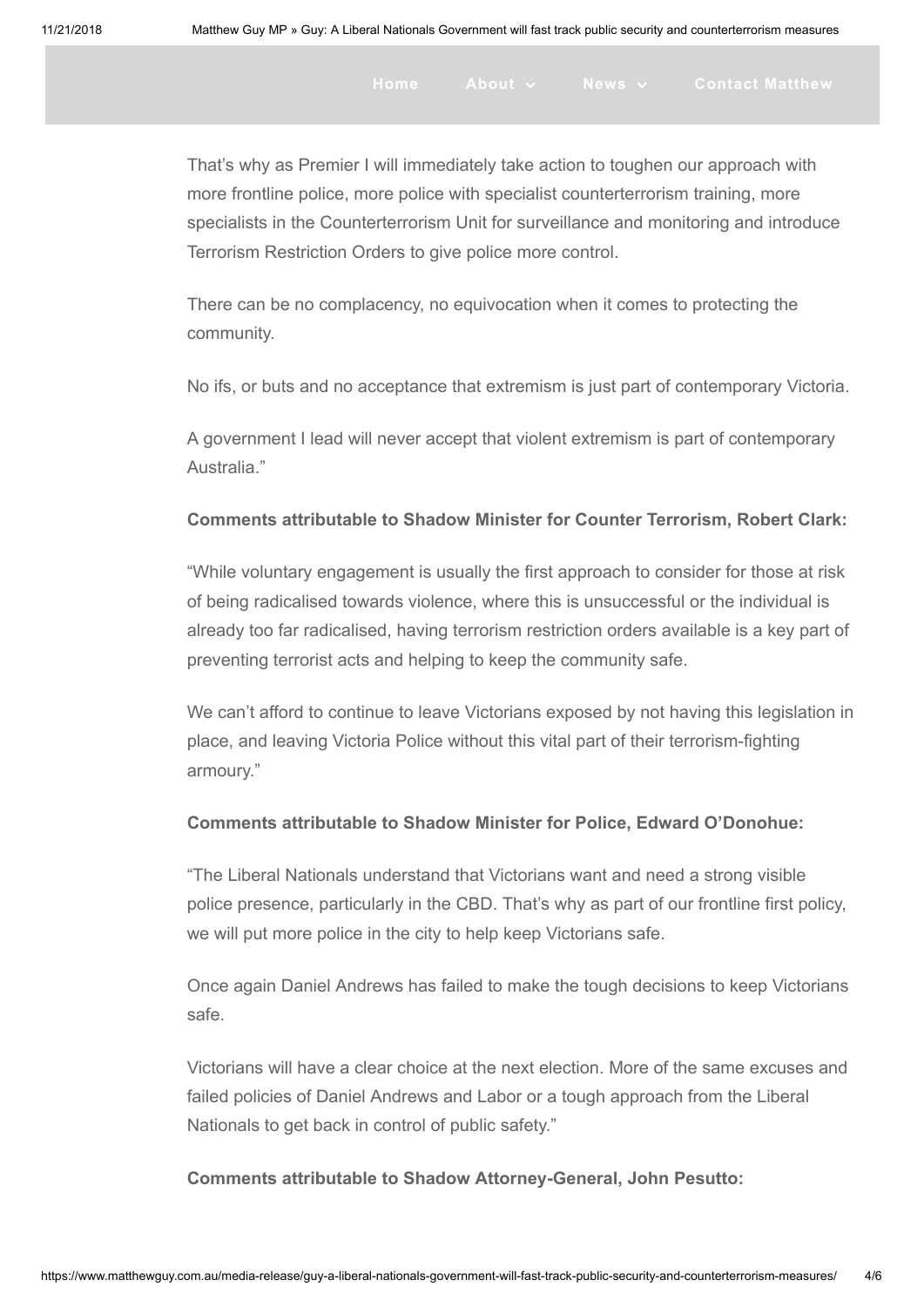That's why as Premier I will immediately take action to toughen our approach with more frontline police, more police with specialist counterterrorism training, more specialists in the Counterterrorism Unit for surveillance and monitoring and introduce Terrorism Restriction Orders to give police more control.

There can be no complacency, no equivocation when it comes to protecting the community.

No ifs, or buts and no acceptance that extremism is just part of contemporary Victoria.

A government I lead will never accept that violent extremism is part of contemporary Australia."

#### Comments attributable to Shadow Minister for Counter Terrorism, Robert Clark:

"While voluntary engagement is usually the first approach to consider for those at risk of being radicalised towards violence, where this is unsuccessful or the individual is already too far radicalised, having terrorism restriction orders available is a key part of preventing terrorist acts and helping to keep the community safe.

We can't afford to continue to leave Victorians exposed by not having this legislation in place, and leaving Victoria Police without this vital part of their terrorism-fighting armoury."

### Comments attributable to Shadow Minister for Police, Edward O'Donohue:

"The Liberal Nationals understand that Victorians want and need a strong visible police presence, particularly in the CBD. That's why as part of our frontline first policy, we will put more police in the city to help keep Victorians safe.

Once again Daniel Andrews has failed to make the tough decisions to keep Victorians safe.

Victorians will have a clear choice at the next election. More of the same excuses and failed policies of Daniel Andrews and Labor or a tough approach from the Liberal Nationals to get back in control of public safety."

Comments attributable to Shadow Attorney-General, John Pesutto: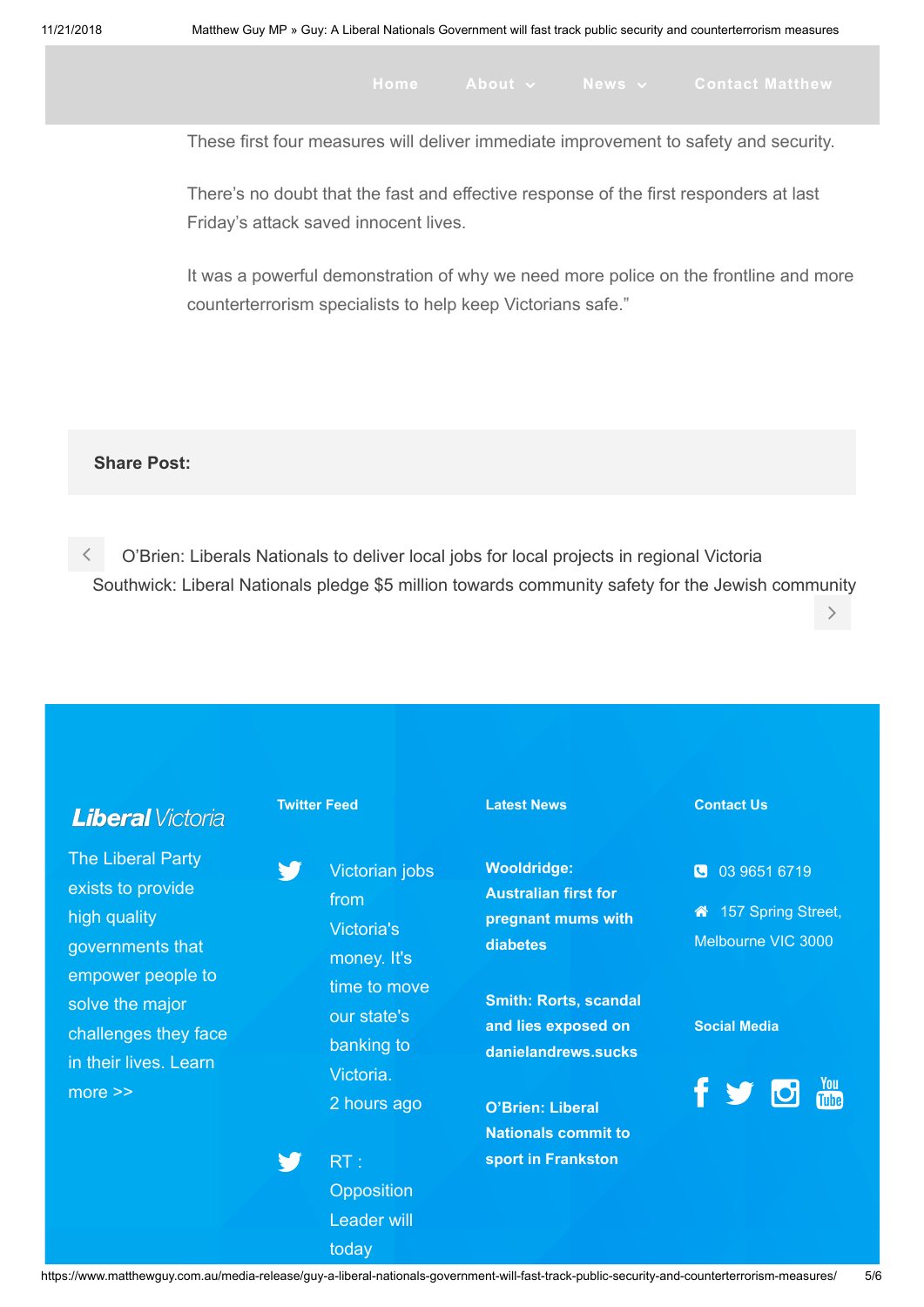$\left\langle \right\rangle$ 

These first four measures will deliver immediate improvement to safety and security.

There's no doubt that the fast and effective response of the first responders at last Friday's attack saved innocent lives.

It was a powerful demonstration of why we need more police on the frontline and more counterterrorism specialists to help keep Victorians safe."

#### Share Post:

 [O'Brien: Liberals Nationals to deliver local jobs for local projects in regional Victoria](https://www.matthewguy.com.au/media-release/obrien-liberals-nationals-to-deliver-local-jobs-for-local-projects-in-regional-victoria/) [Southwick: Liberal Nationals pledge \\$5 million towards community safety for the Jewish community](https://www.matthewguy.com.au/media-release/southwick-liberal-nationals-pledge-5-million-towards-community-safety-for-the-jewish-community/)

Twitter Feed Latest News Contact Us **Liberal** Victoria The Liberal Party Y. Wooldridge: Victorian jobs 03 9651 6719 exists to provide Australian first for from 157 Spring Street, high quality [pregnant mums with](https://www.matthewguy.com.au/media-release/wooldridge-australian-first-for-pregnant-mums-with-diabetes/) Victoria's Melbourne VIC 3000 diabetes governments that money. It's empower people to time to move [Smith: Rorts, scandal](https://www.matthewguy.com.au/media-release/smith-rorts-scandal-and-lies-exposed-on-danielandrews-sucks/) solve the major our state's and lies exposed on Social Media challenges they face banking to danielandrews.sucks [in their lives. Learn](https://vic.liberal.org.au/) Victoria. more >> [2 hours ago](http://twitter.com/MatthewGuyMP/statuses/1064991321356521472) O'Brien: Liberal [Nationals commit to](https://www.matthewguy.com.au/media-release/obrien-liberal-nationals-commit-to-sport-in-frankston/) RT : sport in Frankston W **Opposition** Leader will

today